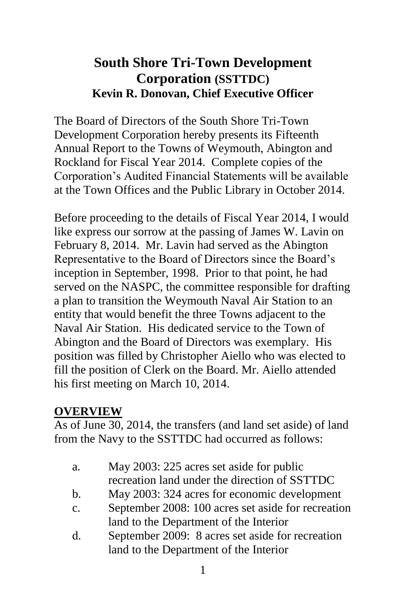# **South Shore Tri-Town Development Corporation (SSTTDC) Kevin R. Donovan, Chief Executive Officer**

The Board of Directors of the South Shore Tri-Town Development Corporation hereby presents its Fifteenth Annual Report to the Towns of Weymouth, Abington and Rockland for Fiscal Year 2014. Complete copies of the Corporation's Audited Financial Statements will be available at the Town Offices and the Public Library in October 2014.

Before proceeding to the details of Fiscal Year 2014, I would like express our sorrow at the passing of James W. Lavin on February 8, 2014. Mr. Lavin had served as the Abington Representative to the Board of Directors since the Board's inception in September, 1998. Prior to that point, he had served on the NASPC, the committee responsible for drafting a plan to transition the Weymouth Naval Air Station to an entity that would benefit the three Towns adjacent to the Naval Air Station. His dedicated service to the Town of Abington and the Board of Directors was exemplary. His position was filled by Christopher Aiello who was elected to fill the position of Clerk on the Board. Mr. Aiello attended his first meeting on March 10, 2014.

### **OVERVIEW**

As of June 30, 2014, the transfers (and land set aside) of land from the Navy to the SSTTDC had occurred as follows:

- a. May 2003: 225 acres set aside for public recreation land under the direction of SSTTDC
- b. May 2003: 324 acres for economic development
- c. September 2008: 100 acres set aside for recreation land to the Department of the Interior
- d. September 2009: 8 acres set aside for recreation land to the Department of the Interior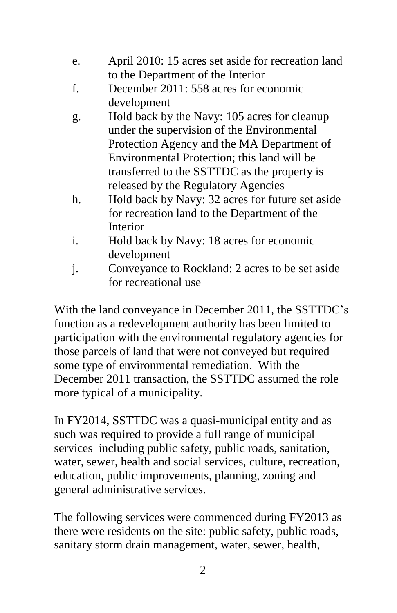- e. April 2010: 15 acres set aside for recreation land to the Department of the Interior
- f. December 2011: 558 acres for economic development
- g. Hold back by the Navy: 105 acres for cleanup under the supervision of the Environmental Protection Agency and the MA Department of Environmental Protection; this land will be transferred to the SSTTDC as the property is released by the Regulatory Agencies
- h. Hold back by Navy: 32 acres for future set aside for recreation land to the Department of the Interior
- i. Hold back by Navy: 18 acres for economic development
- j. Conveyance to Rockland: 2 acres to be set aside for recreational use

With the land conveyance in December 2011, the SSTTDC's function as a redevelopment authority has been limited to participation with the environmental regulatory agencies for those parcels of land that were not conveyed but required some type of environmental remediation. With the December 2011 transaction, the SSTTDC assumed the role more typical of a municipality.

In FY2014, SSTTDC was a quasi-municipal entity and as such was required to provide a full range of municipal services including public safety, public roads, sanitation, water, sewer, health and social services, culture, recreation, education, public improvements, planning, zoning and general administrative services.

The following services were commenced during FY2013 as there were residents on the site: public safety, public roads, sanitary storm drain management, water, sewer, health,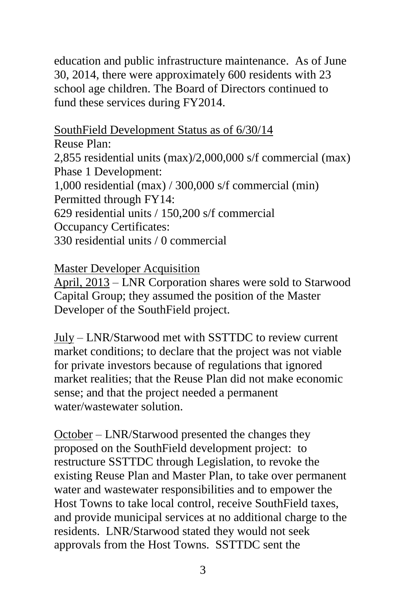education and public infrastructure maintenance. As of June 30, 2014, there were approximately 600 residents with 23 school age children. The Board of Directors continued to fund these services during FY2014.

SouthField Development Status as of 6/30/14

Reuse Plan: 2,855 residential units (max)/2,000,000 s/f commercial (max) Phase 1 Development: 1,000 residential (max) / 300,000 s/f commercial (min) Permitted through FY14: 629 residential units / 150,200 s/f commercial Occupancy Certificates: 330 residential units / 0 commercial

Master Developer Acquisition

April, 2013 – LNR Corporation shares were sold to Starwood Capital Group; they assumed the position of the Master Developer of the SouthField project.

July – LNR/Starwood met with SSTTDC to review current market conditions; to declare that the project was not viable for private investors because of regulations that ignored market realities; that the Reuse Plan did not make economic sense; and that the project needed a permanent water/wastewater solution.

October – LNR/Starwood presented the changes they proposed on the SouthField development project: to restructure SSTTDC through Legislation, to revoke the existing Reuse Plan and Master Plan, to take over permanent water and wastewater responsibilities and to empower the Host Towns to take local control, receive SouthField taxes, and provide municipal services at no additional charge to the residents. LNR/Starwood stated they would not seek approvals from the Host Towns. SSTTDC sent the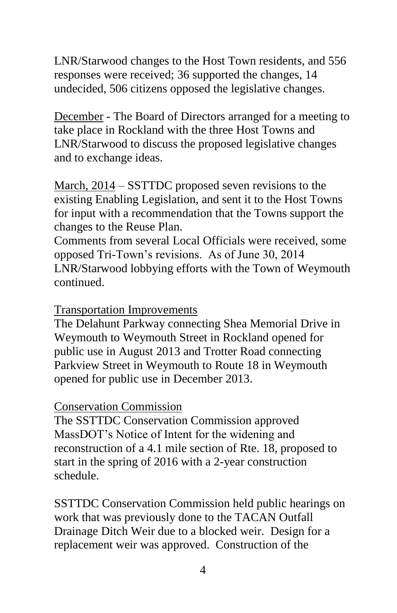LNR/Starwood changes to the Host Town residents, and 556 responses were received; 36 supported the changes, 14 undecided, 506 citizens opposed the legislative changes.

December - The Board of Directors arranged for a meeting to take place in Rockland with the three Host Towns and LNR/Starwood to discuss the proposed legislative changes and to exchange ideas.

March, 2014 – SSTTDC proposed seven revisions to the existing Enabling Legislation, and sent it to the Host Towns for input with a recommendation that the Towns support the changes to the Reuse Plan.

Comments from several Local Officials were received, some opposed Tri-Town's revisions. As of June 30, 2014 LNR/Starwood lobbying efforts with the Town of Weymouth continued.

#### Transportation Improvements

The Delahunt Parkway connecting Shea Memorial Drive in Weymouth to Weymouth Street in Rockland opened for public use in August 2013 and Trotter Road connecting Parkview Street in Weymouth to Route 18 in Weymouth opened for public use in December 2013.

#### Conservation Commission

The SSTTDC Conservation Commission approved MassDOT's Notice of Intent for the widening and reconstruction of a 4.1 mile section of Rte. 18, proposed to start in the spring of 2016 with a 2-year construction schedule.

SSTTDC Conservation Commission held public hearings on work that was previously done to the TACAN Outfall Drainage Ditch Weir due to a blocked weir. Design for a replacement weir was approved. Construction of the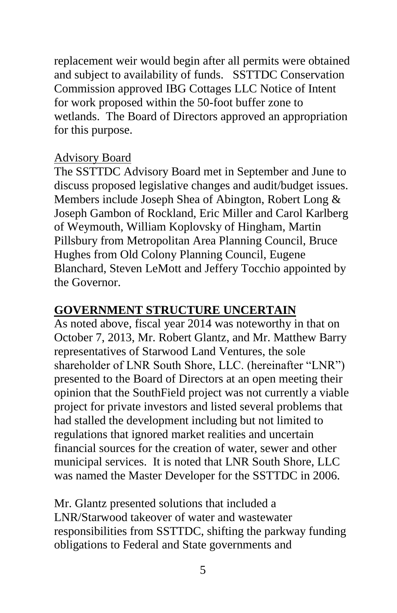replacement weir would begin after all permits were obtained and subject to availability of funds. SSTTDC Conservation Commission approved IBG Cottages LLC Notice of Intent for work proposed within the 50-foot buffer zone to wetlands. The Board of Directors approved an appropriation for this purpose.

#### Advisory Board

The SSTTDC Advisory Board met in September and June to discuss proposed legislative changes and audit/budget issues. Members include Joseph Shea of Abington, Robert Long & Joseph Gambon of Rockland, Eric Miller and Carol Karlberg of Weymouth, William Koplovsky of Hingham, Martin Pillsbury from Metropolitan Area Planning Council, Bruce Hughes from Old Colony Planning Council, Eugene Blanchard, Steven LeMott and Jeffery Tocchio appointed by the Governor.

### **GOVERNMENT STRUCTURE UNCERTAIN**

As noted above, fiscal year 2014 was noteworthy in that on October 7, 2013, Mr. Robert Glantz, and Mr. Matthew Barry representatives of Starwood Land Ventures, the sole shareholder of LNR South Shore, LLC. (hereinafter "LNR") presented to the Board of Directors at an open meeting their opinion that the SouthField project was not currently a viable project for private investors and listed several problems that had stalled the development including but not limited to regulations that ignored market realities and uncertain financial sources for the creation of water, sewer and other municipal services. It is noted that LNR South Shore, LLC was named the Master Developer for the SSTTDC in 2006.

Mr. Glantz presented solutions that included a LNR/Starwood takeover of water and wastewater responsibilities from SSTTDC, shifting the parkway funding obligations to Federal and State governments and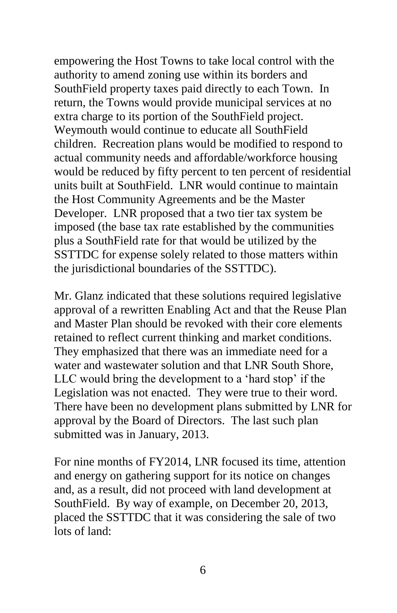empowering the Host Towns to take local control with the authority to amend zoning use within its borders and SouthField property taxes paid directly to each Town. In return, the Towns would provide municipal services at no extra charge to its portion of the SouthField project. Weymouth would continue to educate all SouthField children. Recreation plans would be modified to respond to actual community needs and affordable/workforce housing would be reduced by fifty percent to ten percent of residential units built at SouthField. LNR would continue to maintain the Host Community Agreements and be the Master Developer. LNR proposed that a two tier tax system be imposed (the base tax rate established by the communities plus a SouthField rate for that would be utilized by the SSTTDC for expense solely related to those matters within the jurisdictional boundaries of the SSTTDC).

Mr. Glanz indicated that these solutions required legislative approval of a rewritten Enabling Act and that the Reuse Plan and Master Plan should be revoked with their core elements retained to reflect current thinking and market conditions. They emphasized that there was an immediate need for a water and wastewater solution and that LNR South Shore, LLC would bring the development to a 'hard stop' if the Legislation was not enacted. They were true to their word. There have been no development plans submitted by LNR for approval by the Board of Directors. The last such plan submitted was in January, 2013.

For nine months of FY2014, LNR focused its time, attention and energy on gathering support for its notice on changes and, as a result, did not proceed with land development at SouthField. By way of example, on December 20, 2013, placed the SSTTDC that it was considering the sale of two lots of land: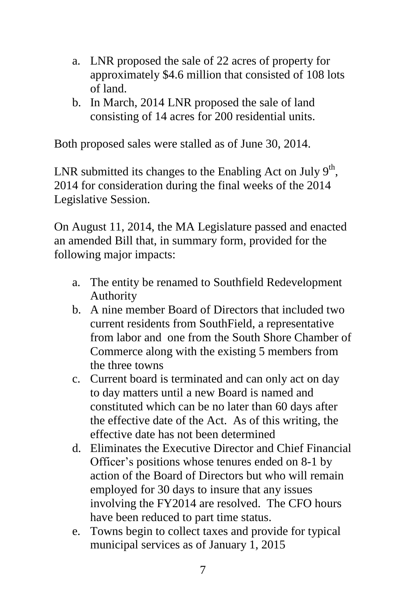- a. LNR proposed the sale of 22 acres of property for approximately \$4.6 million that consisted of 108 lots of land.
- b. In March, 2014 LNR proposed the sale of land consisting of 14 acres for 200 residential units.

Both proposed sales were stalled as of June 30, 2014.

LNR submitted its changes to the Enabling Act on July  $9<sup>th</sup>$ , 2014 for consideration during the final weeks of the 2014 Legislative Session.

On August 11, 2014, the MA Legislature passed and enacted an amended Bill that, in summary form, provided for the following major impacts:

- a. The entity be renamed to Southfield Redevelopment Authority
- b. A nine member Board of Directors that included two current residents from SouthField, a representative from labor and one from the South Shore Chamber of Commerce along with the existing 5 members from the three towns
- c. Current board is terminated and can only act on day to day matters until a new Board is named and constituted which can be no later than 60 days after the effective date of the Act. As of this writing, the effective date has not been determined
- d. Eliminates the Executive Director and Chief Financial Officer's positions whose tenures ended on 8-1 by action of the Board of Directors but who will remain employed for 30 days to insure that any issues involving the FY2014 are resolved. The CFO hours have been reduced to part time status.
- e. Towns begin to collect taxes and provide for typical municipal services as of January 1, 2015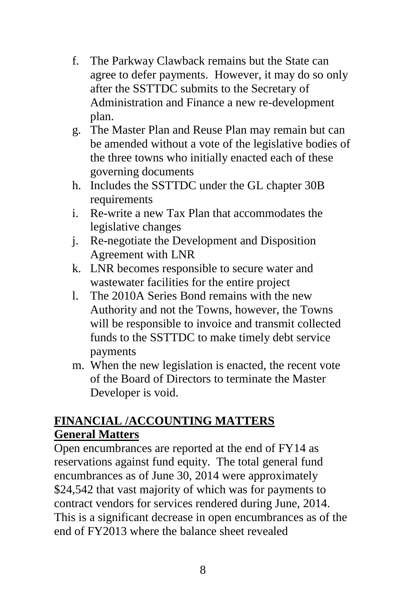- f. The Parkway Clawback remains but the State can agree to defer payments. However, it may do so only after the SSTTDC submits to the Secretary of Administration and Finance a new re-development plan.
- g. The Master Plan and Reuse Plan may remain but can be amended without a vote of the legislative bodies of the three towns who initially enacted each of these governing documents
- h. Includes the SSTTDC under the GL chapter 30B requirements
- i. Re-write a new Tax Plan that accommodates the legislative changes
- j. Re-negotiate the Development and Disposition Agreement with LNR
- k. LNR becomes responsible to secure water and wastewater facilities for the entire project
- l. The 2010A Series Bond remains with the new Authority and not the Towns, however, the Towns will be responsible to invoice and transmit collected funds to the SSTTDC to make timely debt service payments
- m. When the new legislation is enacted, the recent vote of the Board of Directors to terminate the Master Developer is void.

## **FINANCIAL /ACCOUNTING MATTERS General Matters**

Open encumbrances are reported at the end of FY14 as reservations against fund equity. The total general fund encumbrances as of June 30, 2014 were approximately \$24,542 that vast majority of which was for payments to contract vendors for services rendered during June, 2014. This is a significant decrease in open encumbrances as of the end of FY2013 where the balance sheet revealed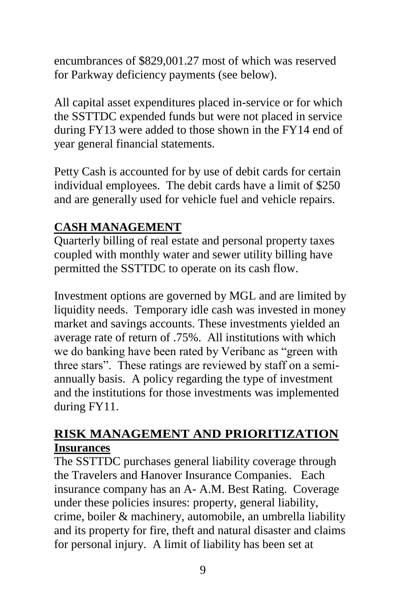encumbrances of \$829,001.27 most of which was reserved for Parkway deficiency payments (see below).

All capital asset expenditures placed in-service or for which the SSTTDC expended funds but were not placed in service during FY13 were added to those shown in the FY14 end of year general financial statements.

Petty Cash is accounted for by use of debit cards for certain individual employees. The debit cards have a limit of \$250 and are generally used for vehicle fuel and vehicle repairs.

### **CASH MANAGEMENT**

Quarterly billing of real estate and personal property taxes coupled with monthly water and sewer utility billing have permitted the SSTTDC to operate on its cash flow.

Investment options are governed by MGL and are limited by liquidity needs. Temporary idle cash was invested in money market and savings accounts. These investments yielded an average rate of return of .75%. All institutions with which we do banking have been rated by Veribanc as "green with three stars". These ratings are reviewed by staff on a semiannually basis. A policy regarding the type of investment and the institutions for those investments was implemented during FY11.

### **RISK MANAGEMENT AND PRIORITIZATION Insurances**

The SSTTDC purchases general liability coverage through the Travelers and Hanover Insurance Companies. Each insurance company has an A- A.M. Best Rating. Coverage under these policies insures: property, general liability, crime, boiler & machinery, automobile, an umbrella liability and its property for fire, theft and natural disaster and claims for personal injury. A limit of liability has been set at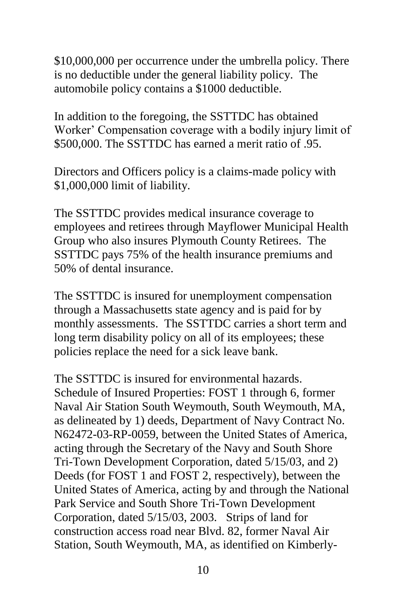\$10,000,000 per occurrence under the umbrella policy. There is no deductible under the general liability policy. The automobile policy contains a \$1000 deductible.

In addition to the foregoing, the SSTTDC has obtained Worker' Compensation coverage with a bodily injury limit of \$500,000. The SSTTDC has earned a merit ratio of .95.

Directors and Officers policy is a claims-made policy with \$1,000,000 limit of liability.

The SSTTDC provides medical insurance coverage to employees and retirees through Mayflower Municipal Health Group who also insures Plymouth County Retirees. The SSTTDC pays 75% of the health insurance premiums and 50% of dental insurance.

The SSTTDC is insured for unemployment compensation through a Massachusetts state agency and is paid for by monthly assessments. The SSTTDC carries a short term and long term disability policy on all of its employees; these policies replace the need for a sick leave bank.

The SSTTDC is insured for environmental hazards. Schedule of Insured Properties: FOST 1 through 6, former Naval Air Station South Weymouth, South Weymouth, MA, as delineated by 1) deeds, Department of Navy Contract No. N62472-03-RP-0059, between the United States of America, acting through the Secretary of the Navy and South Shore Tri-Town Development Corporation, dated 5/15/03, and 2) Deeds (for FOST 1 and FOST 2, respectively), between the United States of America, acting by and through the National Park Service and South Shore Tri-Town Development Corporation, dated 5/15/03, 2003. Strips of land for construction access road near Blvd. 82, former Naval Air Station, South Weymouth, MA, as identified on Kimberly-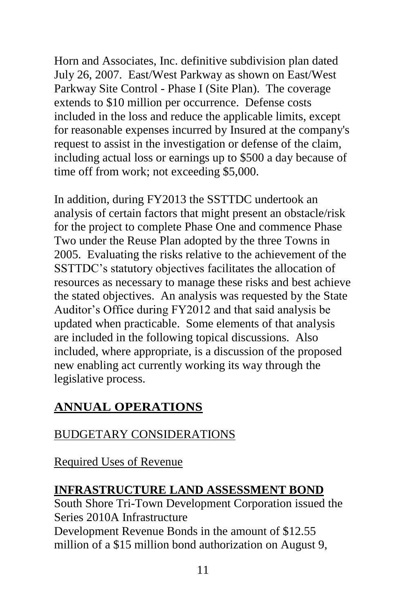Horn and Associates, Inc. definitive subdivision plan dated July 26, 2007. East/West Parkway as shown on East/West Parkway Site Control - Phase I (Site Plan). The coverage extends to \$10 million per occurrence. Defense costs included in the loss and reduce the applicable limits, except for reasonable expenses incurred by Insured at the company's request to assist in the investigation or defense of the claim, including actual loss or earnings up to \$500 a day because of time off from work; not exceeding \$5,000.

In addition, during FY2013 the SSTTDC undertook an analysis of certain factors that might present an obstacle/risk for the project to complete Phase One and commence Phase Two under the Reuse Plan adopted by the three Towns in 2005. Evaluating the risks relative to the achievement of the SSTTDC's statutory objectives facilitates the allocation of resources as necessary to manage these risks and best achieve the stated objectives. An analysis was requested by the State Auditor's Office during FY2012 and that said analysis be updated when practicable. Some elements of that analysis are included in the following topical discussions. Also included, where appropriate, is a discussion of the proposed new enabling act currently working its way through the legislative process.

# **ANNUAL OPERATIONS**

# BUDGETARY CONSIDERATIONS

Required Uses of Revenue

## **INFRASTRUCTURE LAND ASSESSMENT BOND**

South Shore Tri-Town Development Corporation issued the Series 2010A Infrastructure Development Revenue Bonds in the amount of \$12.55 million of a \$15 million bond authorization on August 9,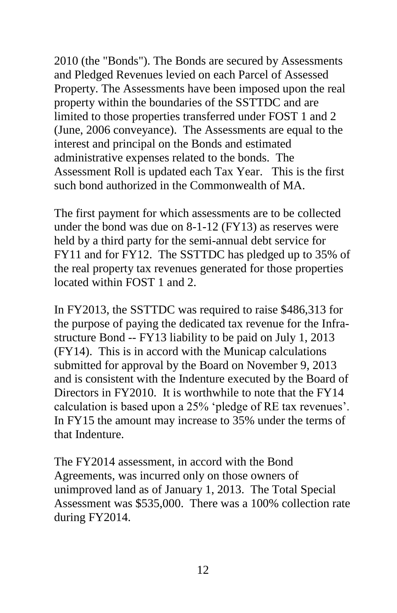2010 (the "Bonds"). The Bonds are secured by Assessments and Pledged Revenues levied on each Parcel of Assessed Property. The Assessments have been imposed upon the real property within the boundaries of the SSTTDC and are limited to those properties transferred under FOST 1 and 2 (June, 2006 conveyance). The Assessments are equal to the interest and principal on the Bonds and estimated administrative expenses related to the bonds. The Assessment Roll is updated each Tax Year. This is the first such bond authorized in the Commonwealth of MA.

The first payment for which assessments are to be collected under the bond was due on 8-1-12 (FY13) as reserves were held by a third party for the semi-annual debt service for FY11 and for FY12. The SSTTDC has pledged up to 35% of the real property tax revenues generated for those properties located within FOST 1 and 2.

In FY2013, the SSTTDC was required to raise \$486,313 for the purpose of paying the dedicated tax revenue for the Infrastructure Bond -- FY13 liability to be paid on July 1, 2013 (FY14). This is in accord with the Municap calculations submitted for approval by the Board on November 9, 2013 and is consistent with the Indenture executed by the Board of Directors in FY2010. It is worthwhile to note that the FY14 calculation is based upon a 25% 'pledge of RE tax revenues'. In FY15 the amount may increase to 35% under the terms of that Indenture.

The FY2014 assessment, in accord with the Bond Agreements, was incurred only on those owners of unimproved land as of January 1, 2013. The Total Special Assessment was \$535,000. There was a 100% collection rate during FY2014.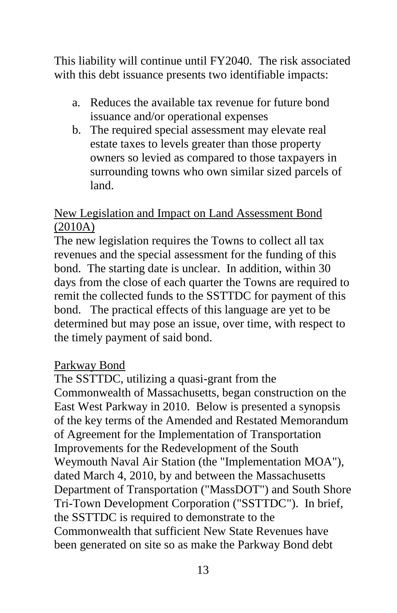This liability will continue until FY2040. The risk associated with this debt issuance presents two identifiable impacts:

- a. Reduces the available tax revenue for future bond issuance and/or operational expenses
- b. The required special assessment may elevate real estate taxes to levels greater than those property owners so levied as compared to those taxpayers in surrounding towns who own similar sized parcels of land.

### New Legislation and Impact on Land Assessment Bond (2010A)

The new legislation requires the Towns to collect all tax revenues and the special assessment for the funding of this bond. The starting date is unclear. In addition, within 30 days from the close of each quarter the Towns are required to remit the collected funds to the SSTTDC for payment of this bond. The practical effects of this language are yet to be determined but may pose an issue, over time, with respect to the timely payment of said bond.

#### Parkway Bond

The SSTTDC, utilizing a quasi-grant from the Commonwealth of Massachusetts, began construction on the East West Parkway in 2010. Below is presented a synopsis of the key terms of the Amended and Restated Memorandum of Agreement for the Implementation of Transportation Improvements for the Redevelopment of the South Weymouth Naval Air Station (the "Implementation MOA"), dated March 4, 2010, by and between the Massachusetts Department of Transportation ("MassDOT") and South Shore Tri-Town Development Corporation ("SSTTDC"). In brief, the SSTTDC is required to demonstrate to the Commonwealth that sufficient New State Revenues have been generated on site so as make the Parkway Bond debt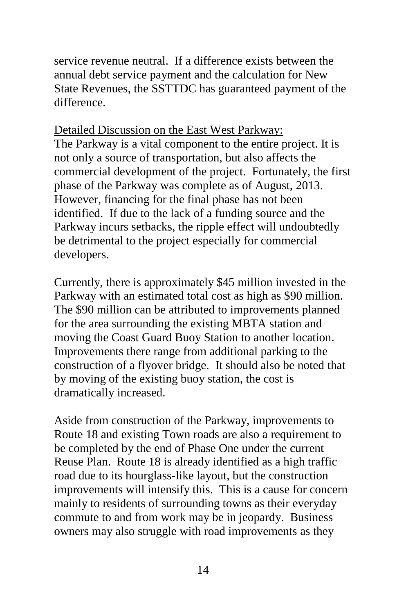service revenue neutral. If a difference exists between the annual debt service payment and the calculation for New State Revenues, the SSTTDC has guaranteed payment of the difference.

Detailed Discussion on the East West Parkway:

The Parkway is a vital component to the entire project. It is not only a source of transportation, but also affects the commercial development of the project. Fortunately, the first phase of the Parkway was complete as of August, 2013. However, financing for the final phase has not been identified. If due to the lack of a funding source and the Parkway incurs setbacks, the ripple effect will undoubtedly be detrimental to the project especially for commercial developers.

Currently, there is approximately \$45 million invested in the Parkway with an estimated total cost as high as \$90 million. The \$90 million can be attributed to improvements planned for the area surrounding the existing MBTA station and moving the Coast Guard Buoy Station to another location. Improvements there range from additional parking to the construction of a flyover bridge. It should also be noted that by moving of the existing buoy station, the cost is dramatically increased.

Aside from construction of the Parkway, improvements to Route 18 and existing Town roads are also a requirement to be completed by the end of Phase One under the current Reuse Plan. Route 18 is already identified as a high traffic road due to its hourglass-like layout, but the construction improvements will intensify this. This is a cause for concern mainly to residents of surrounding towns as their everyday commute to and from work may be in jeopardy. Business owners may also struggle with road improvements as they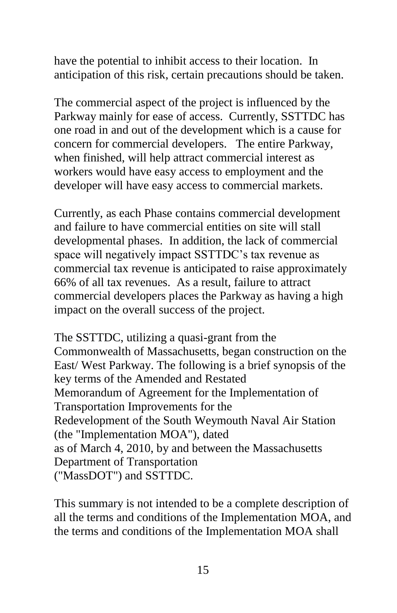have the potential to inhibit access to their location. In anticipation of this risk, certain precautions should be taken.

The commercial aspect of the project is influenced by the Parkway mainly for ease of access. Currently, SSTTDC has one road in and out of the development which is a cause for concern for commercial developers. The entire Parkway, when finished, will help attract commercial interest as workers would have easy access to employment and the developer will have easy access to commercial markets.

Currently, as each Phase contains commercial development and failure to have commercial entities on site will stall developmental phases. In addition, the lack of commercial space will negatively impact SSTTDC's tax revenue as commercial tax revenue is anticipated to raise approximately 66% of all tax revenues. As a result, failure to attract commercial developers places the Parkway as having a high impact on the overall success of the project.

The SSTTDC, utilizing a quasi-grant from the Commonwealth of Massachusetts, began construction on the East/ West Parkway. The following is a brief synopsis of the key terms of the Amended and Restated Memorandum of Agreement for the Implementation of Transportation Improvements for the Redevelopment of the South Weymouth Naval Air Station (the "Implementation MOA"), dated as of March 4, 2010, by and between the Massachusetts Department of Transportation ("MassDOT") and SSTTDC.

This summary is not intended to be a complete description of all the terms and conditions of the Implementation MOA, and the terms and conditions of the Implementation MOA shall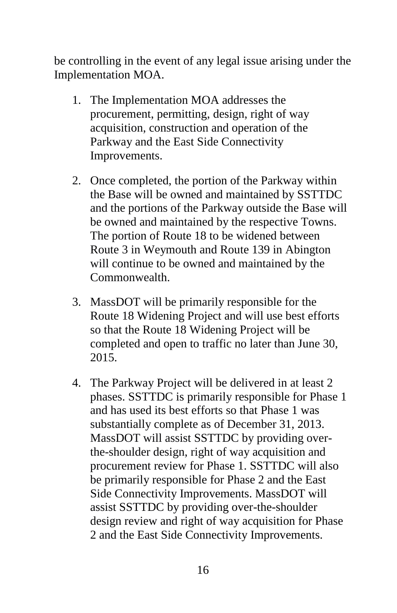be controlling in the event of any legal issue arising under the Implementation MOA.

- 1. The Implementation MOA addresses the procurement, permitting, design, right of way acquisition, construction and operation of the Parkway and the East Side Connectivity Improvements.
- 2. Once completed, the portion of the Parkway within the Base will be owned and maintained by SSTTDC and the portions of the Parkway outside the Base will be owned and maintained by the respective Towns. The portion of Route 18 to be widened between Route 3 in Weymouth and Route 139 in Abington will continue to be owned and maintained by the Commonwealth.
- 3. MassDOT will be primarily responsible for the Route 18 Widening Project and will use best efforts so that the Route 18 Widening Project will be completed and open to traffic no later than June 30, 2015.
- 4. The Parkway Project will be delivered in at least 2 phases. SSTTDC is primarily responsible for Phase 1 and has used its best efforts so that Phase 1 was substantially complete as of December 31, 2013. MassDOT will assist SSTTDC by providing overthe-shoulder design, right of way acquisition and procurement review for Phase 1. SSTTDC will also be primarily responsible for Phase 2 and the East Side Connectivity Improvements. MassDOT will assist SSTTDC by providing over-the-shoulder design review and right of way acquisition for Phase 2 and the East Side Connectivity Improvements.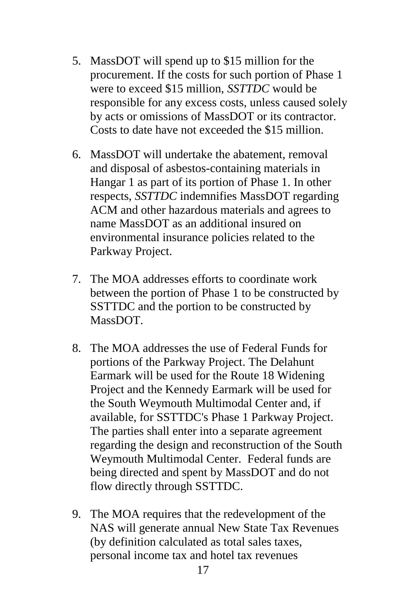- 5. MassDOT will spend up to \$15 million for the procurement. If the costs for such portion of Phase 1 were to exceed \$15 million, *SSTTDC* would be responsible for any excess costs, unless caused solely by acts or omissions of MassDOT or its contractor. Costs to date have not exceeded the \$15 million.
- 6. MassDOT will undertake the abatement, removal and disposal of asbestos-containing materials in Hangar 1 as part of its portion of Phase 1. In other respects, *SSTTDC* indemnifies MassDOT regarding ACM and other hazardous materials and agrees to name MassDOT as an additional insured on environmental insurance policies related to the Parkway Project.
- 7. The MOA addresses efforts to coordinate work between the portion of Phase 1 to be constructed by SSTTDC and the portion to be constructed by MassDOT.
- 8. The MOA addresses the use of Federal Funds for portions of the Parkway Project. The Delahunt Earmark will be used for the Route 18 Widening Project and the Kennedy Earmark will be used for the South Weymouth Multimodal Center and, if available, for SSTTDC's Phase 1 Parkway Project. The parties shall enter into a separate agreement regarding the design and reconstruction of the South Weymouth Multimodal Center. Federal funds are being directed and spent by MassDOT and do not flow directly through SSTTDC.
- 9. The MOA requires that the redevelopment of the NAS will generate annual New State Tax Revenues (by definition calculated as total sales taxes, personal income tax and hotel tax revenues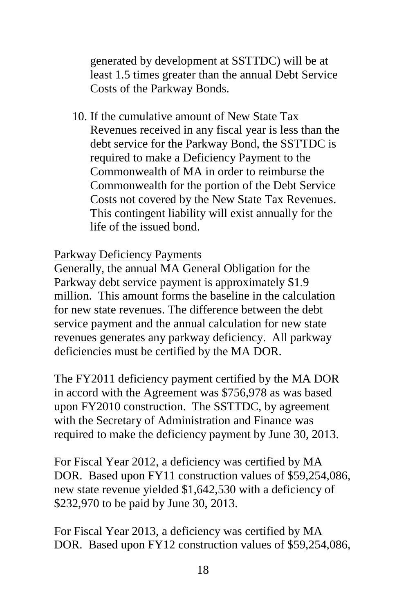generated by development at SSTTDC) will be at least 1.5 times greater than the annual Debt Service Costs of the Parkway Bonds.

10. If the cumulative amount of New State Tax Revenues received in any fiscal year is less than the debt service for the Parkway Bond, the SSTTDC is required to make a Deficiency Payment to the Commonwealth of MA in order to reimburse the Commonwealth for the portion of the Debt Service Costs not covered by the New State Tax Revenues. This contingent liability will exist annually for the life of the issued bond.

Parkway Deficiency Payments

Generally, the annual MA General Obligation for the Parkway debt service payment is approximately \$1.9 million. This amount forms the baseline in the calculation for new state revenues. The difference between the debt service payment and the annual calculation for new state revenues generates any parkway deficiency. All parkway deficiencies must be certified by the MA DOR.

The FY2011 deficiency payment certified by the MA DOR in accord with the Agreement was \$756,978 as was based upon FY2010 construction. The SSTTDC, by agreement with the Secretary of Administration and Finance was required to make the deficiency payment by June 30, 2013.

For Fiscal Year 2012, a deficiency was certified by MA DOR. Based upon FY11 construction values of \$59,254,086, new state revenue yielded \$1,642,530 with a deficiency of \$232,970 to be paid by June 30, 2013.

For Fiscal Year 2013, a deficiency was certified by MA DOR. Based upon FY12 construction values of \$59,254,086,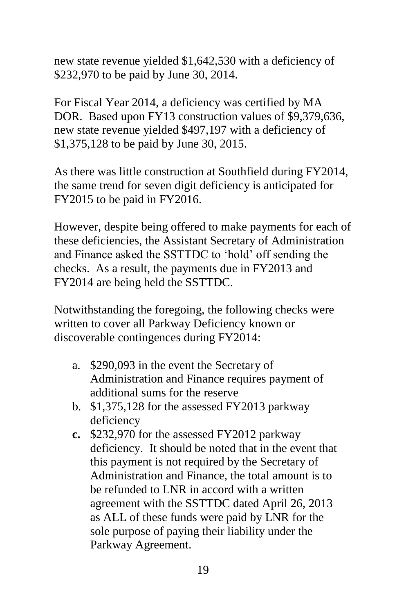new state revenue yielded \$1,642,530 with a deficiency of \$232,970 to be paid by June 30, 2014.

For Fiscal Year 2014, a deficiency was certified by MA DOR. Based upon FY13 construction values of \$9,379,636, new state revenue yielded \$497,197 with a deficiency of \$1,375,128 to be paid by June 30, 2015.

As there was little construction at Southfield during FY2014, the same trend for seven digit deficiency is anticipated for FY2015 to be paid in FY2016.

However, despite being offered to make payments for each of these deficiencies, the Assistant Secretary of Administration and Finance asked the SSTTDC to 'hold' off sending the checks. As a result, the payments due in FY2013 and FY2014 are being held the SSTTDC.

Notwithstanding the foregoing, the following checks were written to cover all Parkway Deficiency known or discoverable contingences during FY2014:

- a. \$290,093 in the event the Secretary of Administration and Finance requires payment of additional sums for the reserve
- b. \$1,375,128 for the assessed FY2013 parkway deficiency
- **c.** \$232,970 for the assessed FY2012 parkway deficiency. It should be noted that in the event that this payment is not required by the Secretary of Administration and Finance, the total amount is to be refunded to LNR in accord with a written agreement with the SSTTDC dated April 26, 2013 as ALL of these funds were paid by LNR for the sole purpose of paying their liability under the Parkway Agreement.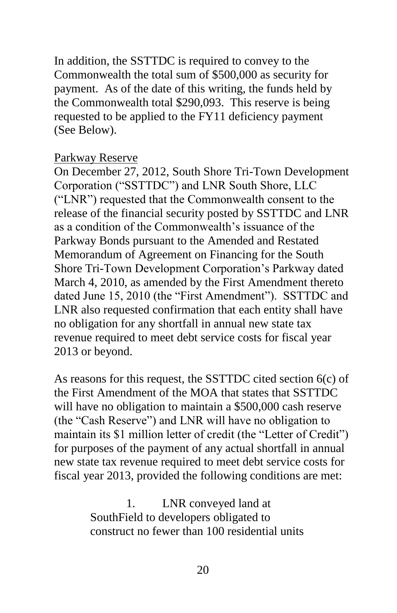In addition, the SSTTDC is required to convey to the Commonwealth the total sum of \$500,000 as security for payment. As of the date of this writing, the funds held by the Commonwealth total \$290,093. This reserve is being requested to be applied to the FY11 deficiency payment (See Below).

#### Parkway Reserve

On December 27, 2012, South Shore Tri-Town Development Corporation ("SSTTDC") and LNR South Shore, LLC ("LNR") requested that the Commonwealth consent to the release of the financial security posted by SSTTDC and LNR as a condition of the Commonwealth's issuance of the Parkway Bonds pursuant to the Amended and Restated Memorandum of Agreement on Financing for the South Shore Tri-Town Development Corporation's Parkway dated March 4, 2010, as amended by the First Amendment thereto dated June 15, 2010 (the "First Amendment"). SSTTDC and LNR also requested confirmation that each entity shall have no obligation for any shortfall in annual new state tax revenue required to meet debt service costs for fiscal year 2013 or beyond.

As reasons for this request, the SSTTDC cited section 6(c) of the First Amendment of the MOA that states that SSTTDC will have no obligation to maintain a \$500,000 cash reserve (the "Cash Reserve") and LNR will have no obligation to maintain its \$1 million letter of credit (the "Letter of Credit") for purposes of the payment of any actual shortfall in annual new state tax revenue required to meet debt service costs for fiscal year 2013, provided the following conditions are met:

> 1. LNR conveyed land at SouthField to developers obligated to construct no fewer than 100 residential units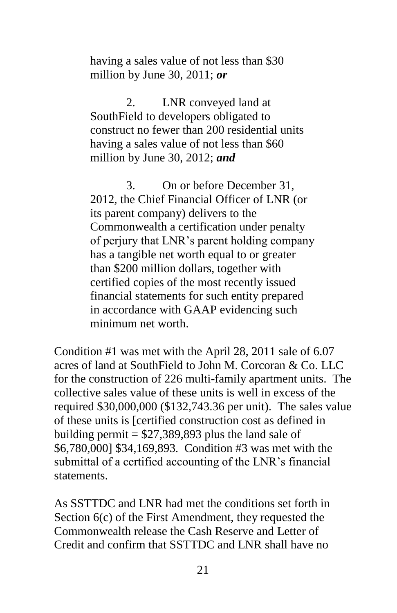having a sales value of not less than \$30 million by June 30, 2011; *or*

2. LNR conveyed land at SouthField to developers obligated to construct no fewer than 200 residential units having a sales value of not less than \$60 million by June 30, 2012; *and* 

3. On or before December 31, 2012, the Chief Financial Officer of LNR (or its parent company) delivers to the Commonwealth a certification under penalty of perjury that LNR's parent holding company has a tangible net worth equal to or greater than \$200 million dollars, together with certified copies of the most recently issued financial statements for such entity prepared in accordance with GAAP evidencing such minimum net worth.

Condition #1 was met with the April 28, 2011 sale of 6.07 acres of land at SouthField to John M. Corcoran & Co. LLC for the construction of 226 multi-family apartment units. The collective sales value of these units is well in excess of the required \$30,000,000 (\$132,743.36 per unit). The sales value of these units is [certified construction cost as defined in building permit  $= $27,389,893$  plus the land sale of \$6,780,000] \$34,169,893. Condition #3 was met with the submittal of a certified accounting of the LNR's financial statements.

As SSTTDC and LNR had met the conditions set forth in Section 6(c) of the First Amendment, they requested the Commonwealth release the Cash Reserve and Letter of Credit and confirm that SSTTDC and LNR shall have no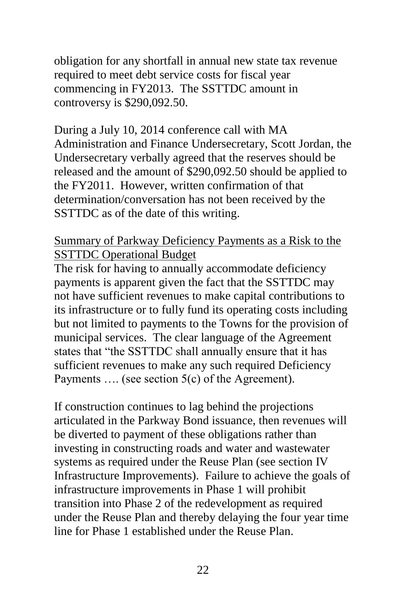obligation for any shortfall in annual new state tax revenue required to meet debt service costs for fiscal year commencing in FY2013. The SSTTDC amount in controversy is \$290,092.50.

During a July 10, 2014 conference call with MA Administration and Finance Undersecretary, Scott Jordan, the Undersecretary verbally agreed that the reserves should be released and the amount of \$290,092.50 should be applied to the FY2011. However, written confirmation of that determination/conversation has not been received by the SSTTDC as of the date of this writing.

#### Summary of Parkway Deficiency Payments as a Risk to the SSTTDC Operational Budget

The risk for having to annually accommodate deficiency payments is apparent given the fact that the SSTTDC may not have sufficient revenues to make capital contributions to its infrastructure or to fully fund its operating costs including but not limited to payments to the Towns for the provision of municipal services. The clear language of the Agreement states that "the SSTTDC shall annually ensure that it has sufficient revenues to make any such required Deficiency Payments …. (see section 5(c) of the Agreement).

If construction continues to lag behind the projections articulated in the Parkway Bond issuance, then revenues will be diverted to payment of these obligations rather than investing in constructing roads and water and wastewater systems as required under the Reuse Plan (see section IV Infrastructure Improvements). Failure to achieve the goals of infrastructure improvements in Phase 1 will prohibit transition into Phase 2 of the redevelopment as required under the Reuse Plan and thereby delaying the four year time line for Phase 1 established under the Reuse Plan.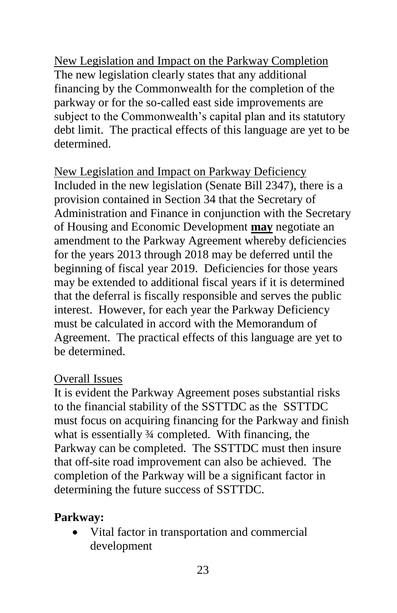New Legislation and Impact on the Parkway Completion The new legislation clearly states that any additional financing by the Commonwealth for the completion of the parkway or for the so-called east side improvements are subject to the Commonwealth's capital plan and its statutory debt limit. The practical effects of this language are yet to be determined.

New Legislation and Impact on Parkway Deficiency Included in the new legislation (Senate Bill 2347), there is a provision contained in Section 34 that the Secretary of Administration and Finance in conjunction with the Secretary of Housing and Economic Development **may** negotiate an amendment to the Parkway Agreement whereby deficiencies for the years 2013 through 2018 may be deferred until the beginning of fiscal year 2019. Deficiencies for those years may be extended to additional fiscal years if it is determined that the deferral is fiscally responsible and serves the public interest. However, for each year the Parkway Deficiency must be calculated in accord with the Memorandum of Agreement. The practical effects of this language are yet to be determined.

### Overall Issues

It is evident the Parkway Agreement poses substantial risks to the financial stability of the SSTTDC as the SSTTDC must focus on acquiring financing for the Parkway and finish what is essentially  $\frac{3}{4}$  completed. With financing, the Parkway can be completed. The SSTTDC must then insure that off-site road improvement can also be achieved. The completion of the Parkway will be a significant factor in determining the future success of SSTTDC.

## **Parkway:**

 Vital factor in transportation and commercial development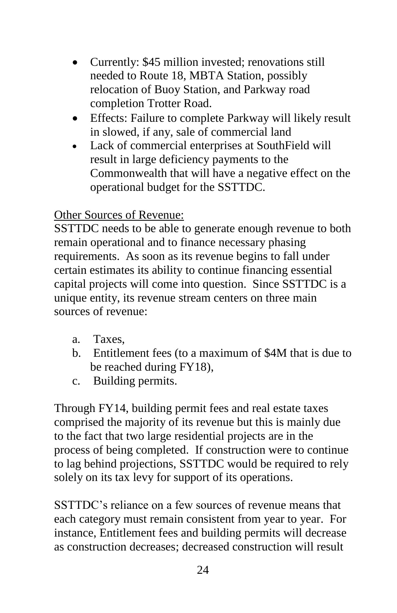- Currently: \$45 million invested; renovations still needed to Route 18, MBTA Station, possibly relocation of Buoy Station, and Parkway road completion Trotter Road.
- Effects: Failure to complete Parkway will likely result in slowed, if any, sale of commercial land
- Lack of commercial enterprises at SouthField will result in large deficiency payments to the Commonwealth that will have a negative effect on the operational budget for the SSTTDC.

### Other Sources of Revenue:

SSTTDC needs to be able to generate enough revenue to both remain operational and to finance necessary phasing requirements. As soon as its revenue begins to fall under certain estimates its ability to continue financing essential capital projects will come into question. Since SSTTDC is a unique entity, its revenue stream centers on three main sources of revenue:

- a. Taxes,
- b. Entitlement fees (to a maximum of \$4M that is due to be reached during FY18),
- c. Building permits.

Through FY14, building permit fees and real estate taxes comprised the majority of its revenue but this is mainly due to the fact that two large residential projects are in the process of being completed. If construction were to continue to lag behind projections, SSTTDC would be required to rely solely on its tax levy for support of its operations.

SSTTDC's reliance on a few sources of revenue means that each category must remain consistent from year to year. For instance, Entitlement fees and building permits will decrease as construction decreases; decreased construction will result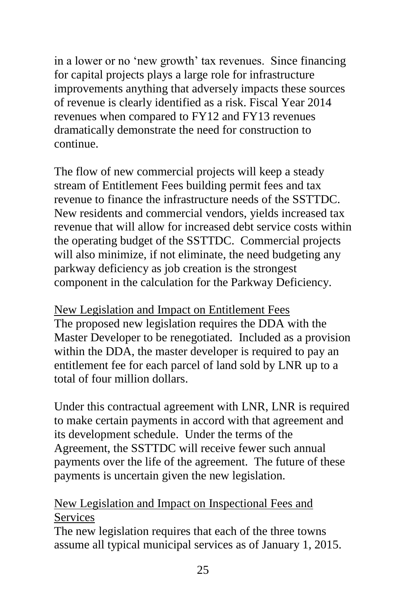in a lower or no 'new growth' tax revenues. Since financing for capital projects plays a large role for infrastructure improvements anything that adversely impacts these sources of revenue is clearly identified as a risk. Fiscal Year 2014 revenues when compared to FY12 and FY13 revenues dramatically demonstrate the need for construction to continue.

The flow of new commercial projects will keep a steady stream of Entitlement Fees building permit fees and tax revenue to finance the infrastructure needs of the SSTTDC. New residents and commercial vendors, yields increased tax revenue that will allow for increased debt service costs within the operating budget of the SSTTDC. Commercial projects will also minimize, if not eliminate, the need budgeting any parkway deficiency as job creation is the strongest component in the calculation for the Parkway Deficiency.

New Legislation and Impact on Entitlement Fees The proposed new legislation requires the DDA with the Master Developer to be renegotiated. Included as a provision within the DDA, the master developer is required to pay an entitlement fee for each parcel of land sold by LNR up to a total of four million dollars.

Under this contractual agreement with LNR, LNR is required to make certain payments in accord with that agreement and its development schedule. Under the terms of the Agreement, the SSTTDC will receive fewer such annual payments over the life of the agreement. The future of these payments is uncertain given the new legislation.

#### New Legislation and Impact on Inspectional Fees and Services

The new legislation requires that each of the three towns assume all typical municipal services as of January 1, 2015.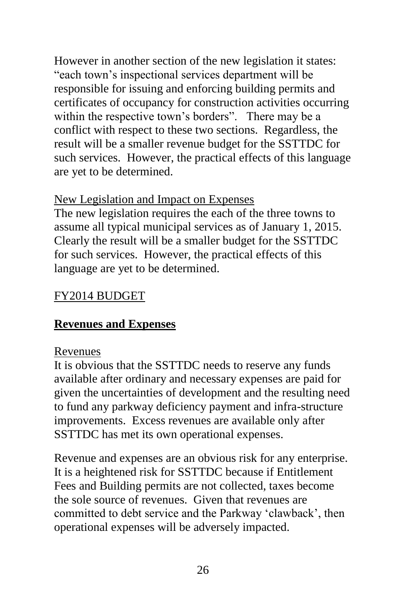However in another section of the new legislation it states: "each town's inspectional services department will be responsible for issuing and enforcing building permits and certificates of occupancy for construction activities occurring within the respective town's borders". There may be a conflict with respect to these two sections. Regardless, the result will be a smaller revenue budget for the SSTTDC for such services. However, the practical effects of this language are yet to be determined.

### New Legislation and Impact on Expenses

The new legislation requires the each of the three towns to assume all typical municipal services as of January 1, 2015. Clearly the result will be a smaller budget for the SSTTDC for such services. However, the practical effects of this language are yet to be determined.

### FY2014 BUDGET

### **Revenues and Expenses**

#### Revenues

It is obvious that the SSTTDC needs to reserve any funds available after ordinary and necessary expenses are paid for given the uncertainties of development and the resulting need to fund any parkway deficiency payment and infra-structure improvements. Excess revenues are available only after SSTTDC has met its own operational expenses.

Revenue and expenses are an obvious risk for any enterprise. It is a heightened risk for SSTTDC because if Entitlement Fees and Building permits are not collected, taxes become the sole source of revenues. Given that revenues are committed to debt service and the Parkway 'clawback', then operational expenses will be adversely impacted.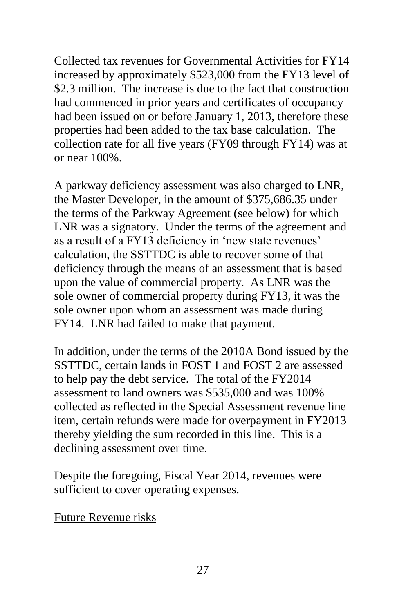Collected tax revenues for Governmental Activities for FY14 increased by approximately \$523,000 from the FY13 level of \$2.3 million. The increase is due to the fact that construction had commenced in prior years and certificates of occupancy had been issued on or before January 1, 2013, therefore these properties had been added to the tax base calculation. The collection rate for all five years (FY09 through FY14) was at or near 100%.

A parkway deficiency assessment was also charged to LNR, the Master Developer, in the amount of \$375,686.35 under the terms of the Parkway Agreement (see below) for which LNR was a signatory. Under the terms of the agreement and as a result of a FY13 deficiency in 'new state revenues' calculation, the SSTTDC is able to recover some of that deficiency through the means of an assessment that is based upon the value of commercial property. As LNR was the sole owner of commercial property during FY13, it was the sole owner upon whom an assessment was made during FY14. LNR had failed to make that payment.

In addition, under the terms of the 2010A Bond issued by the SSTTDC, certain lands in FOST 1 and FOST 2 are assessed to help pay the debt service. The total of the FY2014 assessment to land owners was \$535,000 and was 100% collected as reflected in the Special Assessment revenue line item, certain refunds were made for overpayment in FY2013 thereby yielding the sum recorded in this line. This is a declining assessment over time.

Despite the foregoing, Fiscal Year 2014, revenues were sufficient to cover operating expenses.

Future Revenue risks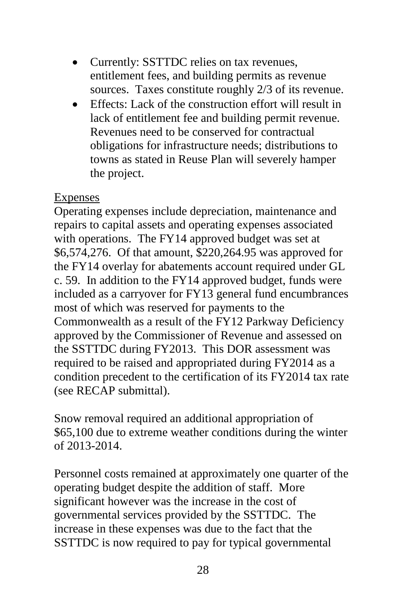- Currently: SSTTDC relies on tax revenues, entitlement fees, and building permits as revenue sources. Taxes constitute roughly 2/3 of its revenue.
- Effects: Lack of the construction effort will result in lack of entitlement fee and building permit revenue. Revenues need to be conserved for contractual obligations for infrastructure needs; distributions to towns as stated in Reuse Plan will severely hamper the project.

#### Expenses

Operating expenses include depreciation, maintenance and repairs to capital assets and operating expenses associated with operations. The FY14 approved budget was set at \$6,574,276. Of that amount, \$220,264.95 was approved for the FY14 overlay for abatements account required under GL c. 59. In addition to the FY14 approved budget, funds were included as a carryover for FY13 general fund encumbrances most of which was reserved for payments to the Commonwealth as a result of the FY12 Parkway Deficiency approved by the Commissioner of Revenue and assessed on the SSTTDC during FY2013. This DOR assessment was required to be raised and appropriated during FY2014 as a condition precedent to the certification of its FY2014 tax rate (see RECAP submittal).

Snow removal required an additional appropriation of \$65,100 due to extreme weather conditions during the winter of 2013-2014.

Personnel costs remained at approximately one quarter of the operating budget despite the addition of staff. More significant however was the increase in the cost of governmental services provided by the SSTTDC. The increase in these expenses was due to the fact that the SSTTDC is now required to pay for typical governmental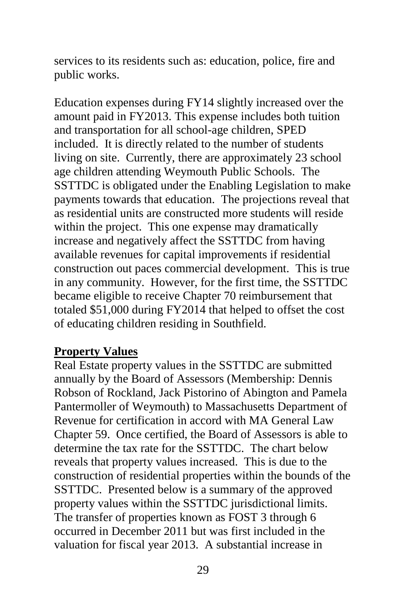services to its residents such as: education, police, fire and public works.

Education expenses during FY14 slightly increased over the amount paid in FY2013. This expense includes both tuition and transportation for all school-age children, SPED included. It is directly related to the number of students living on site. Currently, there are approximately 23 school age children attending Weymouth Public Schools. The SSTTDC is obligated under the Enabling Legislation to make payments towards that education. The projections reveal that as residential units are constructed more students will reside within the project. This one expense may dramatically increase and negatively affect the SSTTDC from having available revenues for capital improvements if residential construction out paces commercial development. This is true in any community. However, for the first time, the SSTTDC became eligible to receive Chapter 70 reimbursement that totaled \$51,000 during FY2014 that helped to offset the cost of educating children residing in Southfield.

#### **Property Values**

Real Estate property values in the SSTTDC are submitted annually by the Board of Assessors (Membership: Dennis Robson of Rockland, Jack Pistorino of Abington and Pamela Pantermoller of Weymouth) to Massachusetts Department of Revenue for certification in accord with MA General Law Chapter 59. Once certified, the Board of Assessors is able to determine the tax rate for the SSTTDC. The chart below reveals that property values increased. This is due to the construction of residential properties within the bounds of the SSTTDC. Presented below is a summary of the approved property values within the SSTTDC jurisdictional limits. The transfer of properties known as FOST 3 through 6 occurred in December 2011 but was first included in the valuation for fiscal year 2013. A substantial increase in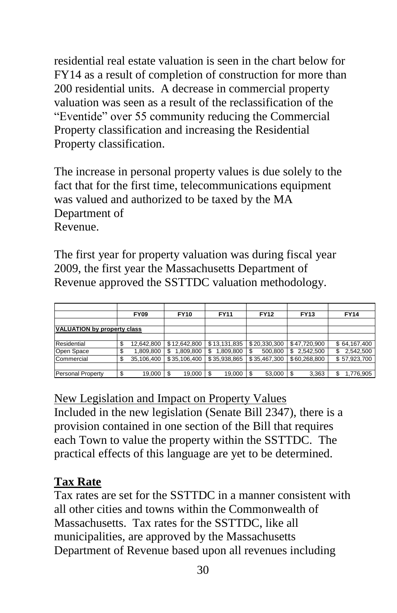residential real estate valuation is seen in the chart below for FY14 as a result of completion of construction for more than 200 residential units. A decrease in commercial property valuation was seen as a result of the reclassification of the "Eventide" over 55 community reducing the Commercial Property classification and increasing the Residential Property classification.

The increase in personal property values is due solely to the fact that for the first time, telecommunications equipment was valued and authorized to be taxed by the MA Department of Revenue.

The first year for property valuation was during fiscal year 2009, the first year the Massachusetts Department of Revenue approved the SSTTDC valuation methodology.

|                             | <b>FY09</b> |            | <b>FY10</b>  |  | <b>FY11</b>      | <b>FY12</b> |              | <b>FY13</b> |              | <b>FY14</b>     |
|-----------------------------|-------------|------------|--------------|--|------------------|-------------|--------------|-------------|--------------|-----------------|
|                             |             |            |              |  |                  |             |              |             |              |                 |
| VALUATION by property class |             |            |              |  |                  |             |              |             |              |                 |
|                             |             |            |              |  |                  |             |              |             |              |                 |
| Residential                 |             | 12.642.800 | \$12,642,800 |  | \$13,131,835     |             | \$20,330,300 |             | \$47.720.900 | \$64,167,400    |
| Open Space                  |             | 1.809.800  | 1.809.800    |  | \$.<br>1.809.800 | S.          | 500.800      | \$          | 2.542.500    | \$<br>2,542,500 |
| Commercial                  |             | 35.106.400 | \$35,106,400 |  | \$35,938,865     |             | \$35,467,300 |             | \$60,268,800 | \$57,923,700    |
|                             |             |            |              |  |                  |             |              |             |              |                 |
| <b>Personal Property</b>    | \$.         | 19.000     | 19,000<br>5  |  | 19.000           |             | 53.000       |             | 3,363        | \$<br>1,776,905 |

New Legislation and Impact on Property Values Included in the new legislation (Senate Bill 2347), there is a provision contained in one section of the Bill that requires each Town to value the property within the SSTTDC. The practical effects of this language are yet to be determined.

### **Tax Rate**

Tax rates are set for the SSTTDC in a manner consistent with all other cities and towns within the Commonwealth of Massachusetts. Tax rates for the SSTTDC, like all municipalities, are approved by the Massachusetts Department of Revenue based upon all revenues including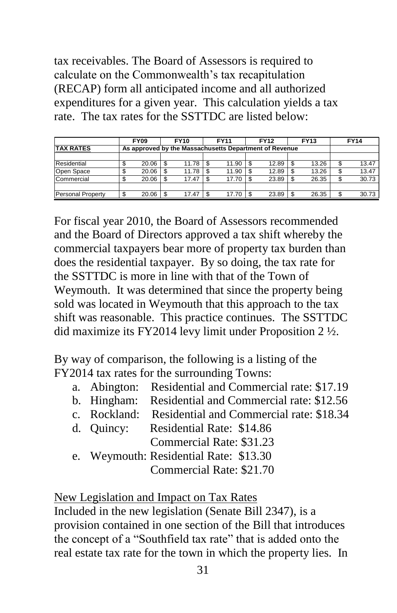tax receivables. The Board of Assessors is required to calculate on the Commonwealth's tax recapitulation (RECAP) form all anticipated income and all authorized expenditures for a given year. This calculation yields a tax rate. The tax rates for the SSTTDC are listed below:

|                          | <b>FY09</b>                                            |       | <b>FY10</b> |       |   | <b>FY11</b> | <b>FY12</b> |       | <b>FY13</b> |       | <b>FY14</b> |       |
|--------------------------|--------------------------------------------------------|-------|-------------|-------|---|-------------|-------------|-------|-------------|-------|-------------|-------|
| <b>TAX RATES</b>         | As approved by the Massachusetts Department of Revenue |       |             |       |   |             |             |       |             |       |             |       |
|                          |                                                        |       |             |       |   |             |             |       |             |       |             |       |
| Residential              |                                                        | 20.06 |             | 11.78 |   | 11.90       |             | 12.89 |             | 13.26 | \$          | 13.47 |
| Open Space               |                                                        | 20.06 |             | 11.78 |   | 11.90       |             | 12.89 |             | 13.26 | \$          | 13.47 |
| Commercial               |                                                        | 20.06 |             | 17.47 |   | 17.70       |             | 23.89 |             | 26.35 | \$          | 30.73 |
|                          |                                                        |       |             |       |   |             |             |       |             |       |             |       |
| <b>Personal Property</b> |                                                        | 20.06 |             | 17.47 | S | 17.70       |             | 23.89 |             | 26.35 | S.          | 30.73 |

For fiscal year 2010, the Board of Assessors recommended and the Board of Directors approved a tax shift whereby the commercial taxpayers bear more of property tax burden than does the residential taxpayer. By so doing, the tax rate for the SSTTDC is more in line with that of the Town of Weymouth. It was determined that since the property being sold was located in Weymouth that this approach to the tax shift was reasonable. This practice continues. The SSTTDC did maximize its FY2014 levy limit under Proposition 2 ½.

By way of comparison, the following is a listing of the FY2014 tax rates for the surrounding Towns:

- a. Abington: Residential and Commercial rate: \$17.19
- b. Hingham: Residential and Commercial rate: \$12.56
- c. Rockland: Residential and Commercial rate: \$18.34
- d. Quincy: Residential Rate: \$14.86

Commercial Rate: \$31.23

e. Weymouth: Residential Rate: \$13.30

Commercial Rate: \$21.70

New Legislation and Impact on Tax Rates

Included in the new legislation (Senate Bill 2347), is a provision contained in one section of the Bill that introduces the concept of a "Southfield tax rate" that is added onto the real estate tax rate for the town in which the property lies. In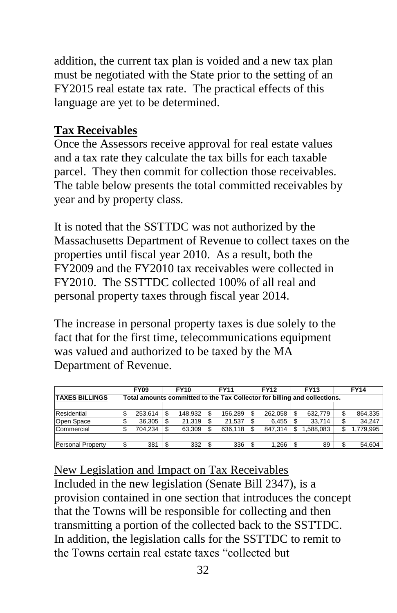addition, the current tax plan is voided and a new tax plan must be negotiated with the State prior to the setting of an FY2015 real estate tax rate. The practical effects of this language are yet to be determined.

### **Tax Receivables**

Once the Assessors receive approval for real estate values and a tax rate they calculate the tax bills for each taxable parcel. They then commit for collection those receivables. The table below presents the total committed receivables by year and by property class.

It is noted that the SSTTDC was not authorized by the Massachusetts Department of Revenue to collect taxes on the properties until fiscal year 2010. As a result, both the FY2009 and the FY2010 tax receivables were collected in FY2010. The SSTTDC collected 100% of all real and personal property taxes through fiscal year 2014.

The increase in personal property taxes is due solely to the fact that for the first time, telecommunications equipment was valued and authorized to be taxed by the MA Department of Revenue.

|                          | <b>FY09</b> |         | <b>FY10</b> | <b>FY11</b> |                                                                           | <b>FY12</b> |         | <b>FY13</b> |           | <b>FY14</b> |           |  |
|--------------------------|-------------|---------|-------------|-------------|---------------------------------------------------------------------------|-------------|---------|-------------|-----------|-------------|-----------|--|
| <b>TAXES BILLINGS</b>    |             |         |             |             | Total amounts committed to the Tax Collector for billing and collections. |             |         |             |           |             |           |  |
|                          |             |         |             |             |                                                                           |             |         |             |           |             |           |  |
| Residential              |             | 253.614 | 148.932     |             | 156.289                                                                   |             | 262.058 |             | 632.779   | \$          | 864,335   |  |
| Open Space               |             | 36.305  | 21.319      |             | 21.537                                                                    |             | 6.455   |             | 33.714    | \$          | 34.247    |  |
| Commercial               |             | 704.234 | 63.309      |             | 636.118                                                                   |             | 847.314 |             | 1.588.083 | \$          | 1.779.995 |  |
|                          |             |         |             |             |                                                                           |             |         |             |           |             |           |  |
| <b>Personal Property</b> |             | 381     | 332         |             | 336                                                                       |             | 1.266   |             | 89        | \$          | 54.604    |  |

New Legislation and Impact on Tax Receivables Included in the new legislation (Senate Bill 2347), is a provision contained in one section that introduces the concept that the Towns will be responsible for collecting and then transmitting a portion of the collected back to the SSTTDC. In addition, the legislation calls for the SSTTDC to remit to the Towns certain real estate taxes "collected but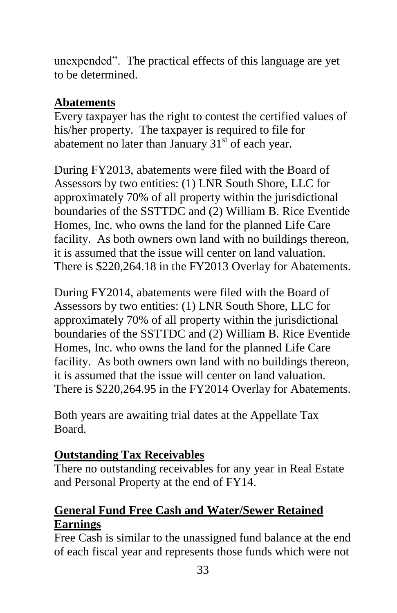unexpended". The practical effects of this language are yet to be determined.

### **Abatements**

Every taxpayer has the right to contest the certified values of his/her property. The taxpayer is required to file for abatement no later than January  $31<sup>st</sup>$  of each year.

During FY2013, abatements were filed with the Board of Assessors by two entities: (1) LNR South Shore, LLC for approximately 70% of all property within the jurisdictional boundaries of the SSTTDC and (2) William B. Rice Eventide Homes, Inc. who owns the land for the planned Life Care facility. As both owners own land with no buildings thereon, it is assumed that the issue will center on land valuation. There is \$220,264.18 in the FY2013 Overlay for Abatements.

During FY2014, abatements were filed with the Board of Assessors by two entities: (1) LNR South Shore, LLC for approximately 70% of all property within the jurisdictional boundaries of the SSTTDC and (2) William B. Rice Eventide Homes, Inc. who owns the land for the planned Life Care facility. As both owners own land with no buildings thereon, it is assumed that the issue will center on land valuation. There is \$220,264.95 in the FY2014 Overlay for Abatements.

Both years are awaiting trial dates at the Appellate Tax Board.

## **Outstanding Tax Receivables**

There no outstanding receivables for any year in Real Estate and Personal Property at the end of FY14.

# **General Fund Free Cash and Water/Sewer Retained Earnings**

Free Cash is similar to the unassigned fund balance at the end of each fiscal year and represents those funds which were not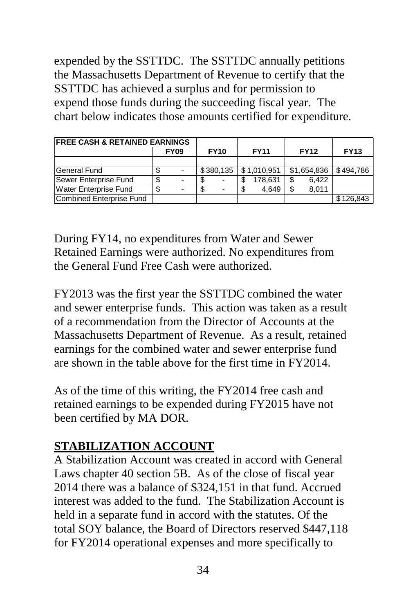expended by the SSTTDC. The SSTTDC annually petitions the Massachusetts Department of Revenue to certify that the SSTTDC has achieved a surplus and for permission to expend those funds during the succeeding fiscal year. The chart below indicates those amounts certified for expenditure.

| <b>FREE CASH &amp; RETAINED EARNINGS</b> |  |             |             |   |             |     |             |             |
|------------------------------------------|--|-------------|-------------|---|-------------|-----|-------------|-------------|
|                                          |  | <b>FY09</b> | <b>FY10</b> |   | <b>FY11</b> |     | <b>FY12</b> | <b>FY13</b> |
|                                          |  |             |             |   |             |     |             |             |
| <b>General Fund</b>                      |  |             | \$380,135   |   | \$1,010,951 |     | \$1,654,836 | \$494.786   |
| Sewer Enterprise Fund                    |  |             |             |   | 178.631     | S   | 6.422       |             |
| <b>Water Enterprise Fund</b>             |  |             |             | S | 4.649       | \$. | 8.011       |             |
| Combined Enterprise Fund                 |  |             |             |   |             |     |             | \$126.843   |

During FY14, no expenditures from Water and Sewer Retained Earnings were authorized. No expenditures from the General Fund Free Cash were authorized.

FY2013 was the first year the SSTTDC combined the water and sewer enterprise funds. This action was taken as a result of a recommendation from the Director of Accounts at the Massachusetts Department of Revenue. As a result, retained earnings for the combined water and sewer enterprise fund are shown in the table above for the first time in FY2014.

As of the time of this writing, the FY2014 free cash and retained earnings to be expended during FY2015 have not been certified by MA DOR.

## **STABILIZATION ACCOUNT**

A Stabilization Account was created in accord with General Laws chapter 40 section 5B. As of the close of fiscal year 2014 there was a balance of \$324,151 in that fund. Accrued interest was added to the fund. The Stabilization Account is held in a separate fund in accord with the statutes. Of the total SOY balance, the Board of Directors reserved \$447,118 for FY2014 operational expenses and more specifically to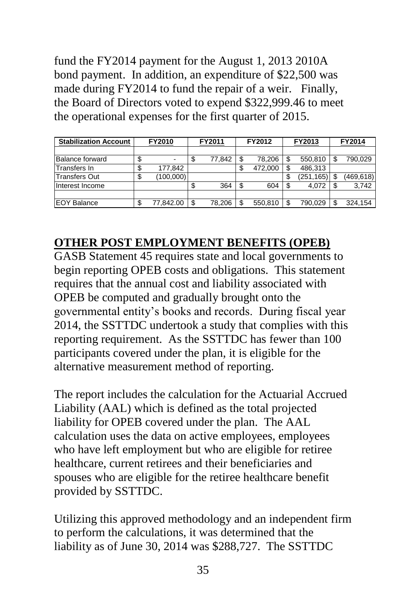fund the FY2014 payment for the August 1, 2013 2010A bond payment. In addition, an expenditure of \$22,500 was made during FY2014 to fund the repair of a weir. Finally, the Board of Directors voted to expend \$322,999.46 to meet the operational expenses for the first quarter of 2015.

| <b>Stabilization Account</b> | FY2010 |           |    | FY2011 |    | FY2012  |     | FY2013     | FY2014 |            |
|------------------------------|--------|-----------|----|--------|----|---------|-----|------------|--------|------------|
|                              |        |           |    |        |    |         |     |            |        |            |
| <b>Balance forward</b>       | \$     | -         | \$ | 77,842 | S  | 78.206  | S   | 550,810    |        | 790,029    |
| Transfers In                 |        | 177,842   |    |        |    | 472,000 |     | 486,313    |        |            |
| <b>Transfers Out</b>         | \$     | (100,000) |    |        |    |         | \$  | (251, 165) | S.     | (469, 618) |
| Interest Income              |        |           | \$ | 364    | \$ | 604     | \$. | 4.072      |        | 3.742      |
|                              |        |           |    |        |    |         |     |            |        |            |
| <b>EOY Balance</b>           | S      | 77,842.00 | \$ | 78.206 |    | 550.810 | \$  | 790.029    |        | 324.154    |

## **OTHER POST EMPLOYMENT BENEFITS (OPEB)**

GASB Statement 45 requires state and local governments to begin reporting OPEB costs and obligations. This statement requires that the annual cost and liability associated with OPEB be computed and gradually brought onto the governmental entity's books and records. During fiscal year 2014, the SSTTDC undertook a study that complies with this reporting requirement. As the SSTTDC has fewer than 100 participants covered under the plan, it is eligible for the alternative measurement method of reporting.

The report includes the calculation for the Actuarial Accrued Liability (AAL) which is defined as the total projected liability for OPEB covered under the plan. The AAL calculation uses the data on active employees, employees who have left employment but who are eligible for retiree healthcare, current retirees and their beneficiaries and spouses who are eligible for the retiree healthcare benefit provided by SSTTDC.

Utilizing this approved methodology and an independent firm to perform the calculations, it was determined that the liability as of June 30, 2014 was \$288,727. The SSTTDC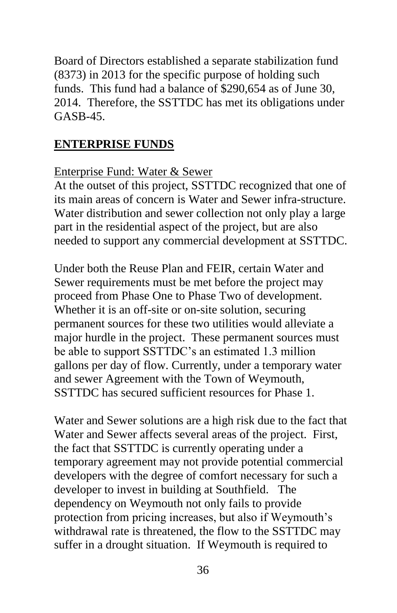Board of Directors established a separate stabilization fund (8373) in 2013 for the specific purpose of holding such funds. This fund had a balance of \$290,654 as of June 30, 2014. Therefore, the SSTTDC has met its obligations under GASB-45.

#### **ENTERPRISE FUNDS**

#### Enterprise Fund: Water & Sewer

At the outset of this project, SSTTDC recognized that one of its main areas of concern is Water and Sewer infra-structure. Water distribution and sewer collection not only play a large part in the residential aspect of the project, but are also needed to support any commercial development at SSTTDC.

Under both the Reuse Plan and FEIR, certain Water and Sewer requirements must be met before the project may proceed from Phase One to Phase Two of development. Whether it is an off-site or on-site solution, securing permanent sources for these two utilities would alleviate a major hurdle in the project. These permanent sources must be able to support SSTTDC's an estimated 1.3 million gallons per day of flow. Currently, under a temporary water and sewer Agreement with the Town of Weymouth, SSTTDC has secured sufficient resources for Phase 1.

Water and Sewer solutions are a high risk due to the fact that Water and Sewer affects several areas of the project. First, the fact that SSTTDC is currently operating under a temporary agreement may not provide potential commercial developers with the degree of comfort necessary for such a developer to invest in building at Southfield. The dependency on Weymouth not only fails to provide protection from pricing increases, but also if Weymouth's withdrawal rate is threatened, the flow to the SSTTDC may suffer in a drought situation. If Weymouth is required to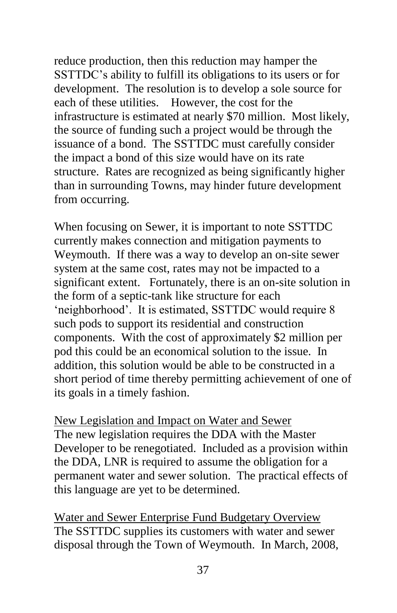reduce production, then this reduction may hamper the SSTTDC's ability to fulfill its obligations to its users or for development. The resolution is to develop a sole source for each of these utilities. However, the cost for the infrastructure is estimated at nearly \$70 million. Most likely, the source of funding such a project would be through the issuance of a bond. The SSTTDC must carefully consider the impact a bond of this size would have on its rate structure. Rates are recognized as being significantly higher than in surrounding Towns, may hinder future development from occurring.

When focusing on Sewer, it is important to note SSTTDC currently makes connection and mitigation payments to Weymouth. If there was a way to develop an on-site sewer system at the same cost, rates may not be impacted to a significant extent. Fortunately, there is an on-site solution in the form of a septic-tank like structure for each 'neighborhood'. It is estimated, SSTTDC would require 8 such pods to support its residential and construction components. With the cost of approximately \$2 million per pod this could be an economical solution to the issue. In addition, this solution would be able to be constructed in a short period of time thereby permitting achievement of one of its goals in a timely fashion.

New Legislation and Impact on Water and Sewer The new legislation requires the DDA with the Master Developer to be renegotiated. Included as a provision within the DDA, LNR is required to assume the obligation for a permanent water and sewer solution. The practical effects of this language are yet to be determined.

Water and Sewer Enterprise Fund Budgetary Overview The SSTTDC supplies its customers with water and sewer disposal through the Town of Weymouth. In March, 2008,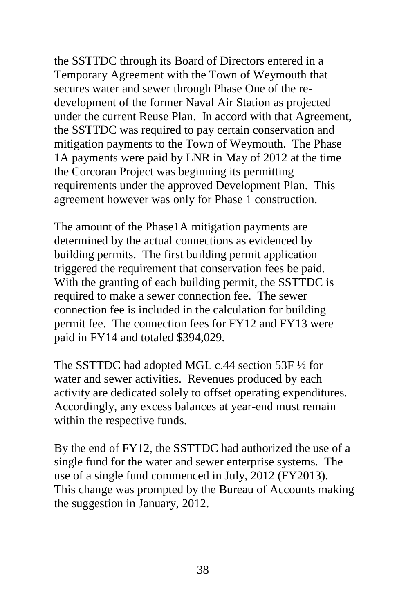the SSTTDC through its Board of Directors entered in a Temporary Agreement with the Town of Weymouth that secures water and sewer through Phase One of the redevelopment of the former Naval Air Station as projected under the current Reuse Plan. In accord with that Agreement, the SSTTDC was required to pay certain conservation and mitigation payments to the Town of Weymouth. The Phase 1A payments were paid by LNR in May of 2012 at the time the Corcoran Project was beginning its permitting requirements under the approved Development Plan. This agreement however was only for Phase 1 construction.

The amount of the Phase1A mitigation payments are determined by the actual connections as evidenced by building permits. The first building permit application triggered the requirement that conservation fees be paid. With the granting of each building permit, the SSTTDC is required to make a sewer connection fee. The sewer connection fee is included in the calculation for building permit fee. The connection fees for FY12 and FY13 were paid in FY14 and totaled \$394,029.

The SSTTDC had adopted MGL c.44 section 53F ½ for water and sewer activities. Revenues produced by each activity are dedicated solely to offset operating expenditures. Accordingly, any excess balances at year-end must remain within the respective funds.

By the end of FY12, the SSTTDC had authorized the use of a single fund for the water and sewer enterprise systems. The use of a single fund commenced in July, 2012 (FY2013). This change was prompted by the Bureau of Accounts making the suggestion in January, 2012.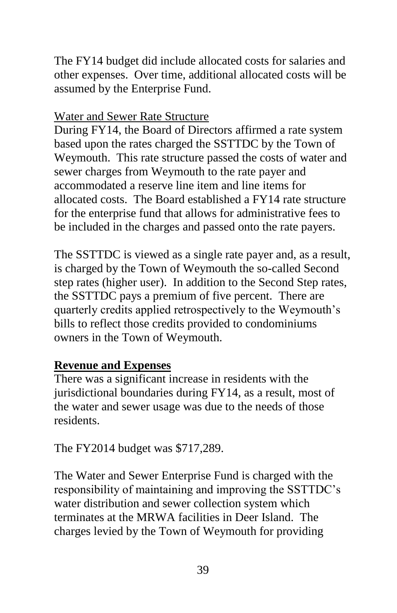The FY14 budget did include allocated costs for salaries and other expenses. Over time, additional allocated costs will be assumed by the Enterprise Fund.

#### Water and Sewer Rate Structure

During FY14, the Board of Directors affirmed a rate system based upon the rates charged the SSTTDC by the Town of Weymouth. This rate structure passed the costs of water and sewer charges from Weymouth to the rate payer and accommodated a reserve line item and line items for allocated costs. The Board established a FY14 rate structure for the enterprise fund that allows for administrative fees to be included in the charges and passed onto the rate payers.

The SSTTDC is viewed as a single rate payer and, as a result, is charged by the Town of Weymouth the so-called Second step rates (higher user). In addition to the Second Step rates, the SSTTDC pays a premium of five percent. There are quarterly credits applied retrospectively to the Weymouth's bills to reflect those credits provided to condominiums owners in the Town of Weymouth.

### **Revenue and Expenses**

There was a significant increase in residents with the jurisdictional boundaries during FY14, as a result, most of the water and sewer usage was due to the needs of those residents.

The FY2014 budget was \$717,289.

The Water and Sewer Enterprise Fund is charged with the responsibility of maintaining and improving the SSTTDC's water distribution and sewer collection system which terminates at the MRWA facilities in Deer Island. The charges levied by the Town of Weymouth for providing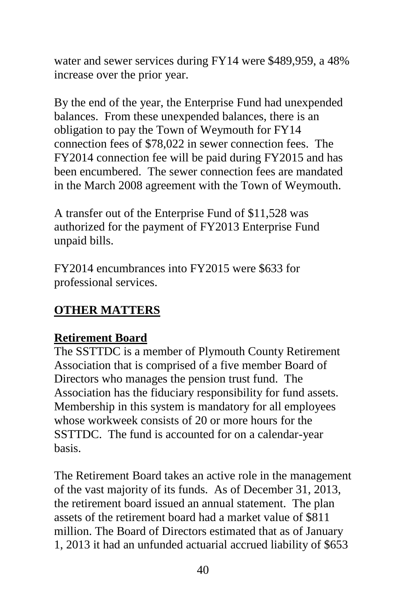water and sewer services during FY14 were \$489,959, a 48% increase over the prior year.

By the end of the year, the Enterprise Fund had unexpended balances. From these unexpended balances, there is an obligation to pay the Town of Weymouth for FY14 connection fees of \$78,022 in sewer connection fees. The FY2014 connection fee will be paid during FY2015 and has been encumbered. The sewer connection fees are mandated in the March 2008 agreement with the Town of Weymouth.

A transfer out of the Enterprise Fund of \$11,528 was authorized for the payment of FY2013 Enterprise Fund unpaid bills.

FY2014 encumbrances into FY2015 were \$633 for professional services.

# **OTHER MATTERS**

### **Retirement Board**

The SSTTDC is a member of Plymouth County Retirement Association that is comprised of a five member Board of Directors who manages the pension trust fund. The Association has the fiduciary responsibility for fund assets. Membership in this system is mandatory for all employees whose workweek consists of 20 or more hours for the SSTTDC. The fund is accounted for on a calendar-year basis.

The Retirement Board takes an active role in the management of the vast majority of its funds. As of December 31, 2013, the retirement board issued an annual statement. The plan assets of the retirement board had a market value of \$811 million. The Board of Directors estimated that as of January 1, 2013 it had an unfunded actuarial accrued liability of \$653